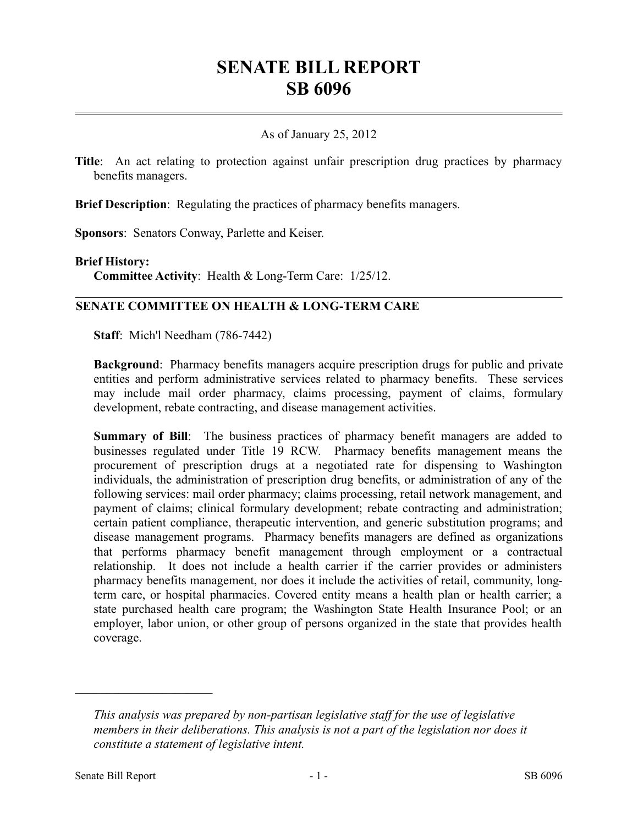# **SENATE BILL REPORT SB 6096**

## As of January 25, 2012

**Title**: An act relating to protection against unfair prescription drug practices by pharmacy benefits managers.

**Brief Description**: Regulating the practices of pharmacy benefits managers.

**Sponsors**: Senators Conway, Parlette and Keiser.

#### **Brief History:**

**Committee Activity**: Health & Long-Term Care: 1/25/12.

### **SENATE COMMITTEE ON HEALTH & LONG-TERM CARE**

**Staff**: Mich'l Needham (786-7442)

**Background**: Pharmacy benefits managers acquire prescription drugs for public and private entities and perform administrative services related to pharmacy benefits. These services may include mail order pharmacy, claims processing, payment of claims, formulary development, rebate contracting, and disease management activities.

**Summary of Bill**: The business practices of pharmacy benefit managers are added to businesses regulated under Title 19 RCW. Pharmacy benefits management means the procurement of prescription drugs at a negotiated rate for dispensing to Washington individuals, the administration of prescription drug benefits, or administration of any of the following services: mail order pharmacy; claims processing, retail network management, and payment of claims; clinical formulary development; rebate contracting and administration; certain patient compliance, therapeutic intervention, and generic substitution programs; and disease management programs. Pharmacy benefits managers are defined as organizations that performs pharmacy benefit management through employment or a contractual relationship. It does not include a health carrier if the carrier provides or administers pharmacy benefits management, nor does it include the activities of retail, community, longterm care, or hospital pharmacies. Covered entity means a health plan or health carrier; a state purchased health care program; the Washington State Health Insurance Pool; or an employer, labor union, or other group of persons organized in the state that provides health coverage.

––––––––––––––––––––––

*This analysis was prepared by non-partisan legislative staff for the use of legislative members in their deliberations. This analysis is not a part of the legislation nor does it constitute a statement of legislative intent.*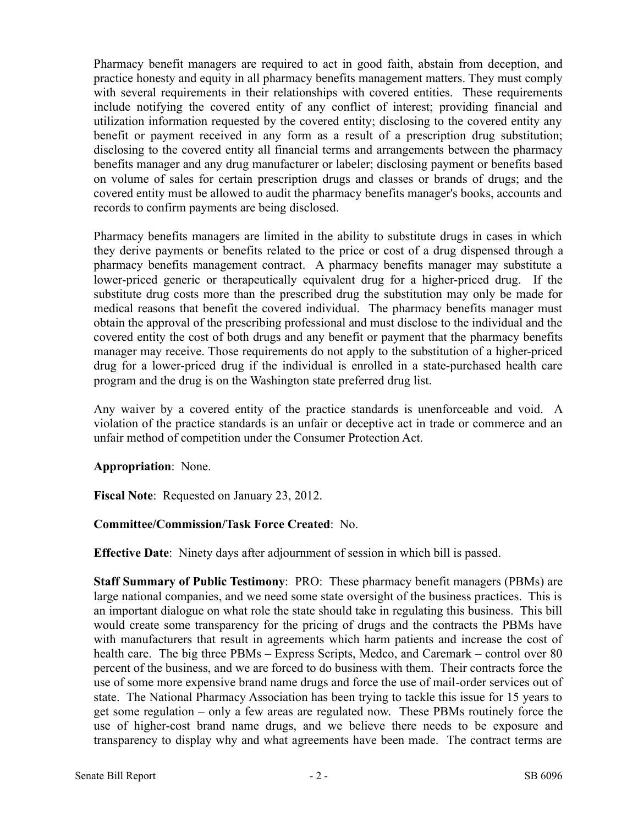Pharmacy benefit managers are required to act in good faith, abstain from deception, and practice honesty and equity in all pharmacy benefits management matters. They must comply with several requirements in their relationships with covered entities. These requirements include notifying the covered entity of any conflict of interest; providing financial and utilization information requested by the covered entity; disclosing to the covered entity any benefit or payment received in any form as a result of a prescription drug substitution; disclosing to the covered entity all financial terms and arrangements between the pharmacy benefits manager and any drug manufacturer or labeler; disclosing payment or benefits based on volume of sales for certain prescription drugs and classes or brands of drugs; and the covered entity must be allowed to audit the pharmacy benefits manager's books, accounts and records to confirm payments are being disclosed.

Pharmacy benefits managers are limited in the ability to substitute drugs in cases in which they derive payments or benefits related to the price or cost of a drug dispensed through a pharmacy benefits management contract. A pharmacy benefits manager may substitute a lower-priced generic or therapeutically equivalent drug for a higher-priced drug. If the substitute drug costs more than the prescribed drug the substitution may only be made for medical reasons that benefit the covered individual. The pharmacy benefits manager must obtain the approval of the prescribing professional and must disclose to the individual and the covered entity the cost of both drugs and any benefit or payment that the pharmacy benefits manager may receive. Those requirements do not apply to the substitution of a higher-priced drug for a lower-priced drug if the individual is enrolled in a state-purchased health care program and the drug is on the Washington state preferred drug list.

Any waiver by a covered entity of the practice standards is unenforceable and void. A violation of the practice standards is an unfair or deceptive act in trade or commerce and an unfair method of competition under the Consumer Protection Act.

**Appropriation**: None.

**Fiscal Note**: Requested on January 23, 2012.

## **Committee/Commission/Task Force Created**: No.

**Effective Date**: Ninety days after adjournment of session in which bill is passed.

**Staff Summary of Public Testimony**: PRO: These pharmacy benefit managers (PBMs) are large national companies, and we need some state oversight of the business practices. This is an important dialogue on what role the state should take in regulating this business. This bill would create some transparency for the pricing of drugs and the contracts the PBMs have with manufacturers that result in agreements which harm patients and increase the cost of health care. The big three PBMs – Express Scripts, Medco, and Caremark – control over 80 percent of the business, and we are forced to do business with them. Their contracts force the use of some more expensive brand name drugs and force the use of mail-order services out of state. The National Pharmacy Association has been trying to tackle this issue for 15 years to get some regulation – only a few areas are regulated now. These PBMs routinely force the use of higher-cost brand name drugs, and we believe there needs to be exposure and transparency to display why and what agreements have been made. The contract terms are